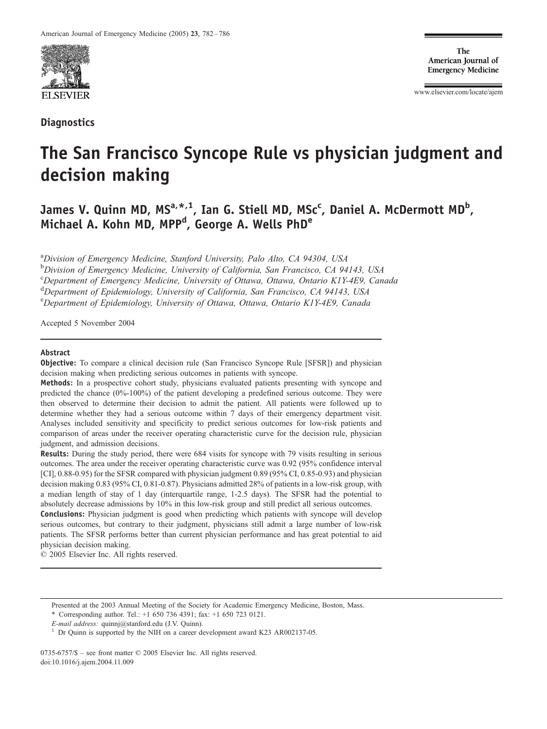

**Diagnostics** 

The American Journal of **Emergency Medicine** 

www.elsevier.com/locate/ajem

# The San Francisco Syncope Rule vs physician judgment and decision making

James V. Quinn MD, MS<sup>a,</sup>\*<sup>,1</sup>, Ian G. Stiell MD, MSc<sup>c</sup>, Daniel A. McDermott MD<sup>b</sup>, Michael A. Kohn MD, MPP<sup>d</sup>, George A. Wells PhD<sup>e</sup>

<sup>a</sup>Division of Emergency Medicine, Stanford University, Palo Alto, CA 94304, USA **b** Division of Emergency Medicine, University of California, San Francisco, CA 94143, USA <sup>c</sup>Department of Emergency Medicine, University of Ottawa, Ottawa, Ontario K1Y-4E9, Canada <sup>d</sup>Department of Epidemiology, University of California, San Francisco, CA 94143, USA e<br> *Pepartment of Epidemiology, University of Ottawa, Ottawa, Ontario K1Y-4E9, Canada* 

Accepted 5 November 2004

#### Abstract

Objective: To compare a clinical decision rule (San Francisco Syncope Rule [SFSR]) and physician decision making when predicting serious outcomes in patients with syncope.

Methods: In a prospective cohort study, physicians evaluated patients presenting with syncope and predicted the chance (0%-100%) of the patient developing a predefined serious outcome. They were then observed to determine their decision to admit the patient. All patients were followed up to determine whether they had a serious outcome within 7 days of their emergency department visit. Analyses included sensitivity and specificity to predict serious outcomes for low-risk patients and comparison of areas under the receiver operating characteristic curve for the decision rule, physician judgment, and admission decisions.

Results: During the study period, there were 684 visits for syncope with 79 visits resulting in serious outcomes. The area under the receiver operating characteristic curve was 0.92 (95% confidence interval [CI], 0.88-0.95) for the SFSR compared with physician judgment 0.89 (95% CI, 0.85-0.93) and physician decision making 0.83 (95% CI, 0.81-0.87). Physicians admitted 28% of patients in a low-risk group, with a median length of stay of 1 day (interquartile range, 1-2.5 days). The SFSR had the potential to absolutely decrease admissions by 10% in this low-risk group and still predict all serious outcomes.

Conclusions: Physician judgment is good when predicting which patients with syncope will develop serious outcomes, but contrary to their judgment, physicians still admit a large number of low-risk patients. The SFSR performs better than current physician performance and has great potential to aid physician decision making.

 $© 2005 Elsevier Inc. All rights reserved.$ 

\* Corresponding author. Tel.:  $+1$  650 736 4391; fax:  $+1$  650 723 0121.

 $0735-6757/\$  – see front matter  $\odot$  2005 Elsevier Inc. All rights reserved. doi:10.1016/j.ajem.2004.11.009

Presented at the 2003 Annual Meeting of the Society for Academic Emergency Medicine, Boston, Mass.

E-mail address: quinnj@stanford.edu (J.V. Quinn).<br><sup>1</sup> Dr Quinn is supported by the NIH on a career development award K23 AR002137-05.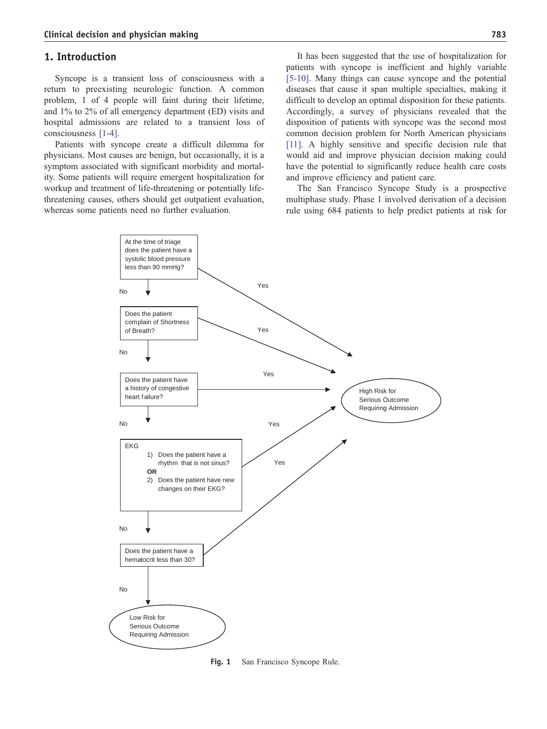# <span id="page-1-0"></span>1. Introduction

Syncope is a transient loss of consciousness with a return to preexisting neurologic function. A common problem, 1 of 4 people will faint during their lifetime, and 1% to 2% of all emergency department (ED) visits and hospital admissions are related to a transient loss of consciousness [\[1-4\].](#page-4-0)

Patients with syncope create a difficult dilemma for physicians. Most causes are benign, but occasionally, it is a symptom associated with significant morbidity and mortality. Some patients will require emergent hospitalization for workup and treatment of life-threatening or potentially lifethreatening causes, others should get outpatient evaluation, whereas some patients need no further evaluation.

It has been suggested that the use of hospitalization for patients with syncope is inefficient and highly variable [\[5-10\].](#page-4-0) Many things can cause syncope and the potential diseases that cause it span multiple specialties, making it difficult to develop an optimal disposition for these patients. Accordingly, a survey of physicians revealed that the disposition of patients with syncope was the second most common decision problem for North American physicians [\[11\].](#page-4-0) A highly sensitive and specific decision rule that would aid and improve physician decision making could have the potential to significantly reduce health care costs and improve efficiency and patient care.

The San Francisco Syncope Study is a prospective multiphase study. Phase 1 involved derivation of a decision rule using 684 patients to help predict patients at risk for



Fig. 1 San Francisco Syncope Rule.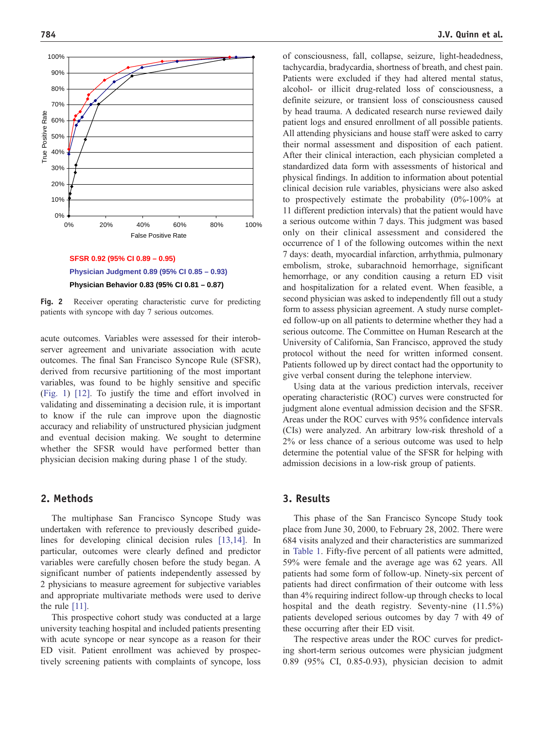<span id="page-2-0"></span>

Fig. 2 Receiver operating characteristic curve for predicting patients with syncope with day 7 serious outcomes.

acute outcomes. Variables were assessed for their interobserver agreement and univariate association with acute outcomes. The final San Francisco Syncope Rule (SFSR), derived from recursive partitioning of the most important variables, was found to be highly sensitive and specific ([Fig.](#page-1-0) [1\)](#page-1-0) [\[12\].](#page-4-0) To justify the time and effort involved in validating and disseminating a decision rule, it is important to know if the rule can improve upon the diagnostic accuracy and reliability of unstructured physician judgment and eventual decision making. We sought to determine whether the SFSR would have performed better than physician decision making during phase 1 of the study.

## 2. Methods

The multiphase San Francisco Syncope Study was undertaken with reference to previously described guidelines for developing clinical decision rules [\[13,14\].](#page-4-0) In particular, outcomes were clearly defined and predictor variables were carefully chosen before the study began. A significant number of patients independently assessed by 2 physicians to measure agreement for subjective variables and appropriate multivariate methods were used to derive the rule [\[11\].](#page-4-0)

This prospective cohort study was conducted at a large university teaching hospital and included patients presenting with acute syncope or near syncope as a reason for their ED visit. Patient enrollment was achieved by prospectively screening patients with complaints of syncope, loss

of consciousness, fall, collapse, seizure, light-headedness, tachycardia, bradycardia, shortness of breath, and chest pain. Patients were excluded if they had altered mental status, alcohol- or illicit drug-related loss of consciousness, a definite seizure, or transient loss of consciousness caused by head trauma. A dedicated research nurse reviewed daily patient logs and ensured enrollment of all possible patients. All attending physicians and house staff were asked to carry their normal assessment and disposition of each patient. After their clinical interaction, each physician completed a standardized data form with assessments of historical and physical findings. In addition to information about potential clinical decision rule variables, physicians were also asked to prospectively estimate the probability (0%-100% at 11 different prediction intervals) that the patient would have a serious outcome within 7 days. This judgment was based only on their clinical assessment and considered the occurrence of 1 of the following outcomes within the next 7 days: death, myocardial infarction, arrhythmia, pulmonary embolism, stroke, subarachnoid hemorrhage, significant hemorrhage, or any condition causing a return ED visit and hospitalization for a related event. When feasible, a second physician was asked to independently fill out a study form to assess physician agreement. A study nurse completed follow-up on all patients to determine whether they had a serious outcome. The Committee on Human Research at the University of California, San Francisco, approved the study protocol without the need for written informed consent. Patients followed up by direct contact had the opportunity to give verbal consent during the telephone interview.

Using data at the various prediction intervals, receiver operating characteristic (ROC) curves were constructed for judgment alone eventual admission decision and the SFSR. Areas under the ROC curves with 95% confidence intervals (CIs) were analyzed. An arbitrary low-risk threshold of a 2% or less chance of a serious outcome was used to help determine the potential value of the SFSR for helping with admission decisions in a low-risk group of patients.

#### 3. Results

This phase of the San Francisco Syncope Study took place from June 30, 2000, to February 28, 2002. There were 684 visits analyzed and their characteristics are summarized in [Table 1.](#page-3-0) Fifty-five percent of all patients were admitted, 59% were female and the average age was 62 years. All patients had some form of follow-up. Ninety-six percent of patients had direct confirmation of their outcome with less than 4% requiring indirect follow-up through checks to local hospital and the death registry. Seventy-nine (11.5%) patients developed serious outcomes by day 7 with 49 of these occurring after their ED visit.

The respective areas under the ROC curves for predicting short-term serious outcomes were physician judgment 0.89 (95% CI, 0.85-0.93), physician decision to admit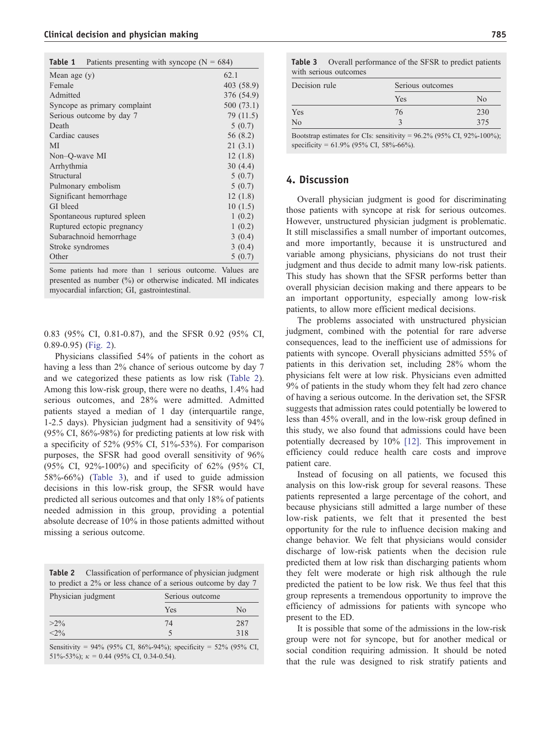<span id="page-3-0"></span>

| Table 1 |  | Patients presenting with syncope $(N = 684)$ |  |  |
|---------|--|----------------------------------------------|--|--|
|---------|--|----------------------------------------------|--|--|

| $\sim$ 0.000 $\sim$ 0.000 $\sim$ 0.000 $\sim$ 0.000 $\sim$ 0.000 $\sim$ 0.000 $\sim$ 0.000 $\sim$ 0.000 $\sim$ 0.000 $\sim$ 0.000 $\sim$ 0.000 $\sim$ 0.000 $\sim$ 0.000 $\sim$ 0.000 $\sim$ 0.000 $\sim$ 0.000 $\sim$ 0.000 $\sim$ 0.000 $\sim$ 0.000 $\sim$ 0.000 |
|---------------------------------------------------------------------------------------------------------------------------------------------------------------------------------------------------------------------------------------------------------------------|
| 62.1                                                                                                                                                                                                                                                                |
| 403 (58.9)                                                                                                                                                                                                                                                          |
| 376 (54.9)                                                                                                                                                                                                                                                          |
| 500(73.1)                                                                                                                                                                                                                                                           |
| 79 (11.5)                                                                                                                                                                                                                                                           |
| 5(0.7)                                                                                                                                                                                                                                                              |
| 56 (8.2)                                                                                                                                                                                                                                                            |
| 21(3.1)                                                                                                                                                                                                                                                             |
| 12(1.8)                                                                                                                                                                                                                                                             |
| 30(4.4)                                                                                                                                                                                                                                                             |
| 5(0.7)                                                                                                                                                                                                                                                              |
| 5(0.7)                                                                                                                                                                                                                                                              |
| 12(1.8)                                                                                                                                                                                                                                                             |
| 10(1.5)                                                                                                                                                                                                                                                             |
| 1(0.2)                                                                                                                                                                                                                                                              |
| 1(0.2)                                                                                                                                                                                                                                                              |
| 3(0.4)                                                                                                                                                                                                                                                              |
| 3(0.4)                                                                                                                                                                                                                                                              |
| 5(0.7)                                                                                                                                                                                                                                                              |
|                                                                                                                                                                                                                                                                     |

Some patients had more than 1 serious outcome. Values are presented as number (%) or otherwise indicated. MI indicates myocardial infarction; GI, gastrointestinal.

0.83 (95% CI, 0.81-0.87), and the SFSR 0.92 (95% CI, 0.89-0.95) [\(Fig.](#page-2-0) [2\)](#page-2-0).

Physicians classified 54% of patients in the cohort as having a less than 2% chance of serious outcome by day 7 and we categorized these patients as low risk (Table 2). Among this low-risk group, there were no deaths, 1.4% had serious outcomes, and 28% were admitted. Admitted patients stayed a median of 1 day (interquartile range, 1-2.5 days). Physician judgment had a sensitivity of 94% (95% CI, 86%-98%) for predicting patients at low risk with a specificity of  $52\%$  (95% CI,  $51\%$ -53%). For comparison purposes, the SFSR had good overall sensitivity of 96% (95% CI, 92%-100%) and specificity of 62% (95% CI, 58%-66%) (Table 3), and if used to guide admission decisions in this low-risk group, the SFSR would have predicted all serious outcomes and that only 18% of patients needed admission in this group, providing a potential absolute decrease of 10% in those patients admitted without missing a serious outcome.

Table 2 Classification of performance of physician judgment to predict a 2% or less chance of a serious outcome by day 7

| Physician judgment | Serious outcome |     |  |
|--------------------|-----------------|-----|--|
|                    | Yes             | No  |  |
| $>2\%$             | 74              | 287 |  |
| $< \frac{20}{6}$   |                 | 318 |  |
|                    |                 |     |  |

Sensitivity = 94% (95% CI, 86%-94%); specificity = 52% (95% CI, 51%-53%);  $\kappa = 0.44$  (95% CI, 0.34-0.54).

Table 3 Overall performance of the SFSR to predict patients with serious outcomes

| Decision rule  | Serious outcomes |                |  |
|----------------|------------------|----------------|--|
|                | Yes              | N <sub>0</sub> |  |
| Yes            | 76               | 230            |  |
| N <sub>o</sub> |                  | 375            |  |
|                |                  |                |  |

Bootstrap estimates for CIs: sensitivity =  $96.2\%$  (95% CI, 92%-100%); specificity = 61.9% (95% CI, 58%-66%).

## 4. Discussion

Overall physician judgment is good for discriminating those patients with syncope at risk for serious outcomes. However, unstructured physician judgment is problematic. It still misclassifies a small number of important outcomes, and more importantly, because it is unstructured and variable among physicians, physicians do not trust their judgment and thus decide to admit many low-risk patients. This study has shown that the SFSR performs better than overall physician decision making and there appears to be an important opportunity, especially among low-risk patients, to allow more efficient medical decisions.

The problems associated with unstructured physician judgment, combined with the potential for rare adverse consequences, lead to the inefficient use of admissions for patients with syncope. Overall physicians admitted 55% of patients in this derivation set, including 28% whom the physicians felt were at low risk. Physicians even admitted 9% of patients in the study whom they felt had zero chance of having a serious outcome. In the derivation set, the SFSR suggests that admission rates could potentially be lowered to less than 45% overall, and in the low-risk group defined in this study, we also found that admissions could have been potentially decreased by 10% [\[12\].](#page-4-0) This improvement in efficiency could reduce health care costs and improve patient care.

Instead of focusing on all patients, we focused this analysis on this low-risk group for several reasons. These patients represented a large percentage of the cohort, and because physicians still admitted a large number of these low-risk patients, we felt that it presented the best opportunity for the rule to influence decision making and change behavior. We felt that physicians would consider discharge of low-risk patients when the decision rule predicted them at low risk than discharging patients whom they felt were moderate or high risk although the rule predicted the patient to be low risk. We thus feel that this group represents a tremendous opportunity to improve the efficiency of admissions for patients with syncope who present to the ED.

It is possible that some of the admissions in the low-risk group were not for syncope, but for another medical or social condition requiring admission. It should be noted that the rule was designed to risk stratify patients and